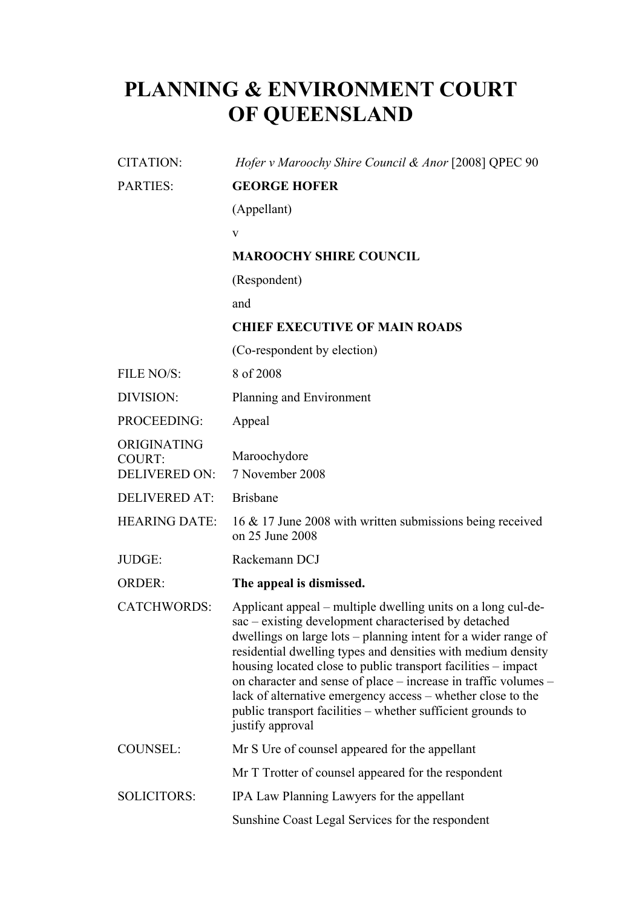## **PLANNING & ENVIRONMENT COURT OF QUEENSLAND**

| <b>CITATION:</b>                                     | Hofer v Maroochy Shire Council & Anor [2008] QPEC 90                                                                                                                                                                                                                                                                                                                                                                                                                                                                                         |
|------------------------------------------------------|----------------------------------------------------------------------------------------------------------------------------------------------------------------------------------------------------------------------------------------------------------------------------------------------------------------------------------------------------------------------------------------------------------------------------------------------------------------------------------------------------------------------------------------------|
| <b>PARTIES:</b>                                      | <b>GEORGE HOFER</b>                                                                                                                                                                                                                                                                                                                                                                                                                                                                                                                          |
|                                                      | (Appellant)                                                                                                                                                                                                                                                                                                                                                                                                                                                                                                                                  |
|                                                      | V                                                                                                                                                                                                                                                                                                                                                                                                                                                                                                                                            |
|                                                      | <b>MAROOCHY SHIRE COUNCIL</b>                                                                                                                                                                                                                                                                                                                                                                                                                                                                                                                |
|                                                      | (Respondent)                                                                                                                                                                                                                                                                                                                                                                                                                                                                                                                                 |
|                                                      | and                                                                                                                                                                                                                                                                                                                                                                                                                                                                                                                                          |
|                                                      | <b>CHIEF EXECUTIVE OF MAIN ROADS</b>                                                                                                                                                                                                                                                                                                                                                                                                                                                                                                         |
|                                                      | (Co-respondent by election)                                                                                                                                                                                                                                                                                                                                                                                                                                                                                                                  |
| FILE NO/S:                                           | 8 of 2008                                                                                                                                                                                                                                                                                                                                                                                                                                                                                                                                    |
| DIVISION:                                            | Planning and Environment                                                                                                                                                                                                                                                                                                                                                                                                                                                                                                                     |
| PROCEEDING:                                          | Appeal                                                                                                                                                                                                                                                                                                                                                                                                                                                                                                                                       |
| ORIGINATING<br><b>COURT:</b><br><b>DELIVERED ON:</b> | Maroochydore<br>7 November 2008                                                                                                                                                                                                                                                                                                                                                                                                                                                                                                              |
| <b>DELIVERED AT:</b>                                 | <b>Brisbane</b>                                                                                                                                                                                                                                                                                                                                                                                                                                                                                                                              |
| <b>HEARING DATE:</b>                                 | 16 & 17 June 2008 with written submissions being received<br>on 25 June 2008                                                                                                                                                                                                                                                                                                                                                                                                                                                                 |
| JUDGE:                                               | Rackemann DCJ                                                                                                                                                                                                                                                                                                                                                                                                                                                                                                                                |
| <b>ORDER:</b>                                        | The appeal is dismissed.                                                                                                                                                                                                                                                                                                                                                                                                                                                                                                                     |
| <b>CATCHWORDS:</b>                                   | Applicant appeal – multiple dwelling units on a long cul-de-<br>sac - existing development characterised by detached<br>dwellings on large lots – planning intent for a wider range of<br>residential dwelling types and densities with medium density<br>housing located close to public transport facilities – impact<br>on character and sense of place – increase in traffic volumes –<br>lack of alternative emergency access – whether close to the<br>public transport facilities - whether sufficient grounds to<br>justify approval |
| <b>COUNSEL:</b>                                      | Mr S Ure of counsel appeared for the appellant                                                                                                                                                                                                                                                                                                                                                                                                                                                                                               |
|                                                      | Mr T Trotter of counsel appeared for the respondent                                                                                                                                                                                                                                                                                                                                                                                                                                                                                          |
| <b>SOLICITORS:</b>                                   | IPA Law Planning Lawyers for the appellant                                                                                                                                                                                                                                                                                                                                                                                                                                                                                                   |
|                                                      | Sunshine Coast Legal Services for the respondent                                                                                                                                                                                                                                                                                                                                                                                                                                                                                             |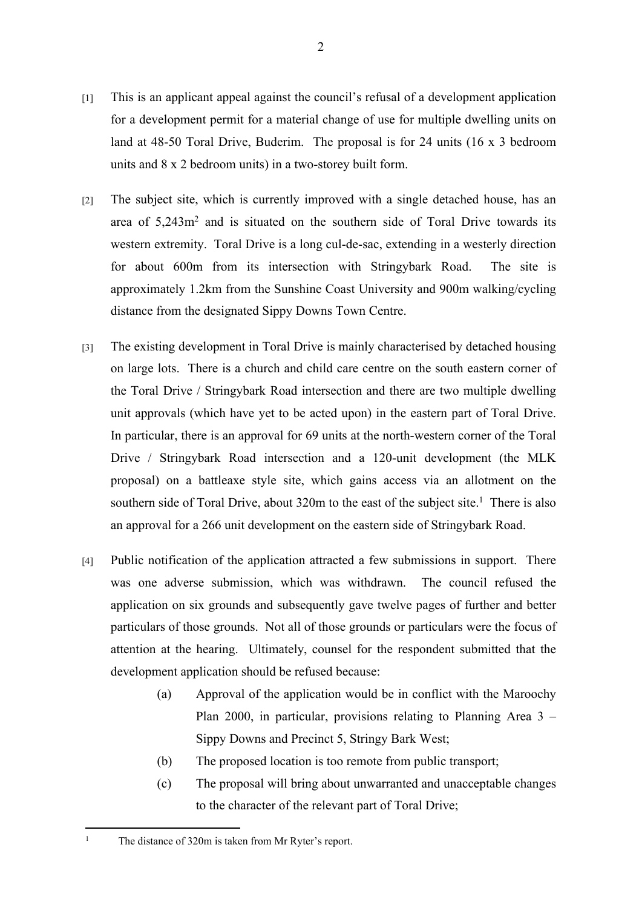- [1] This is an applicant appeal against the council's refusal of a development application for a development permit for a material change of use for multiple dwelling units on land at 48-50 Toral Drive, Buderim. The proposal is for 24 units (16 x 3 bedroom units and 8 x 2 bedroom units) in a two-storey built form.
- [2] The subject site, which is currently improved with a single detached house, has an area of 5,243m<sup>2</sup> and is situated on the southern side of Toral Drive towards its western extremity. Toral Drive is a long cul-de-sac, extending in a westerly direction for about 600m from its intersection with Stringybark Road. The site is approximately 1.2km from the Sunshine Coast University and 900m walking/cycling distance from the designated Sippy Downs Town Centre.
- [3] The existing development in Toral Drive is mainly characterised by detached housing on large lots. There is a church and child care centre on the south eastern corner of the Toral Drive / Stringybark Road intersection and there are two multiple dwelling unit approvals (which have yet to be acted upon) in the eastern part of Toral Drive. In particular, there is an approval for 69 units at the north-western corner of the Toral Drive / Stringybark Road intersection and a 120-unit development (the MLK proposal) on a battleaxe style site, which gains access via an allotment on the southern side of Toral Drive, about  $320m$  to the east of the subject site.<sup>1</sup> There is also an approval for a 266 unit development on the eastern side of Stringybark Road.
- [4] Public notification of the application attracted a few submissions in support. There was one adverse submission, which was withdrawn. The council refused the application on six grounds and subsequently gave twelve pages of further and better particulars of those grounds. Not all of those grounds or particulars were the focus of attention at the hearing. Ultimately, counsel for the respondent submitted that the development application should be refused because:
	- (a) Approval of the application would be in conflict with the Maroochy Plan 2000, in particular, provisions relating to Planning Area 3 – Sippy Downs and Precinct 5, Stringy Bark West;
	- (b) The proposed location is too remote from public transport;
	- (c) The proposal will bring about unwarranted and unacceptable changes to the character of the relevant part of Toral Drive;

1

The distance of 320m is taken from Mr Ryter's report.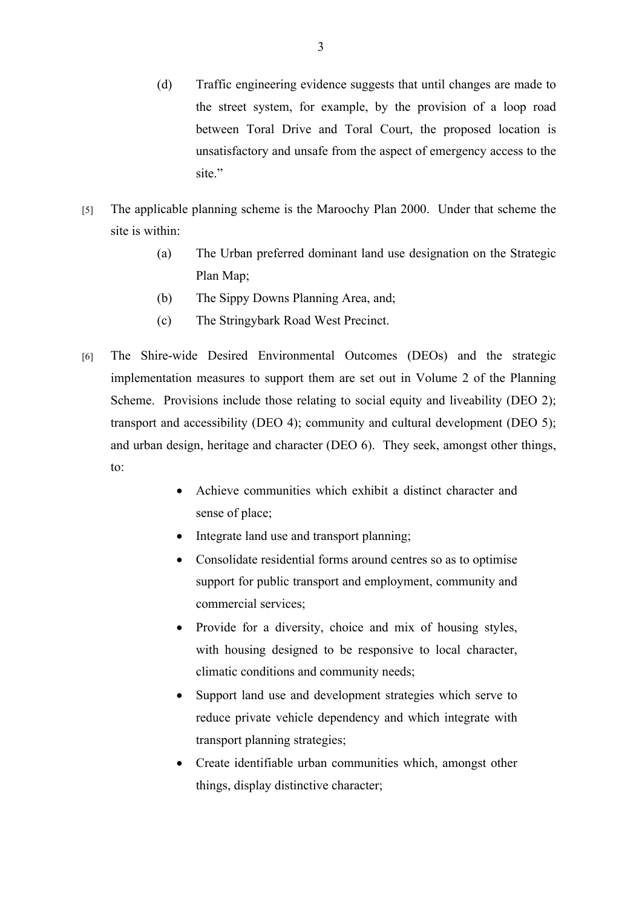- (d) Traffic engineering evidence suggests that until changes are made to the street system, for example, by the provision of a loop road between Toral Drive and Toral Court, the proposed location is unsatisfactory and unsafe from the aspect of emergency access to the site."
- [5] The applicable planning scheme is the Maroochy Plan 2000. Under that scheme the site is within:
	- (a) The Urban preferred dominant land use designation on the Strategic Plan Map;
	- (b) The Sippy Downs Planning Area, and;
	- (c) The Stringybark Road West Precinct.
- [6] The Shire-wide Desired Environmental Outcomes (DEOs) and the strategic implementation measures to support them are set out in Volume 2 of the Planning Scheme. Provisions include those relating to social equity and liveability (DEO 2); transport and accessibility (DEO 4); community and cultural development (DEO 5); and urban design, heritage and character (DEO 6). They seek, amongst other things, to:
	- Achieve communities which exhibit a distinct character and sense of place;
	- Integrate land use and transport planning;
	- Consolidate residential forms around centres so as to optimise support for public transport and employment, community and commercial services;
	- Provide for a diversity, choice and mix of housing styles, with housing designed to be responsive to local character, climatic conditions and community needs;
	- Support land use and development strategies which serve to reduce private vehicle dependency and which integrate with transport planning strategies;
	- Create identifiable urban communities which, amongst other things, display distinctive character;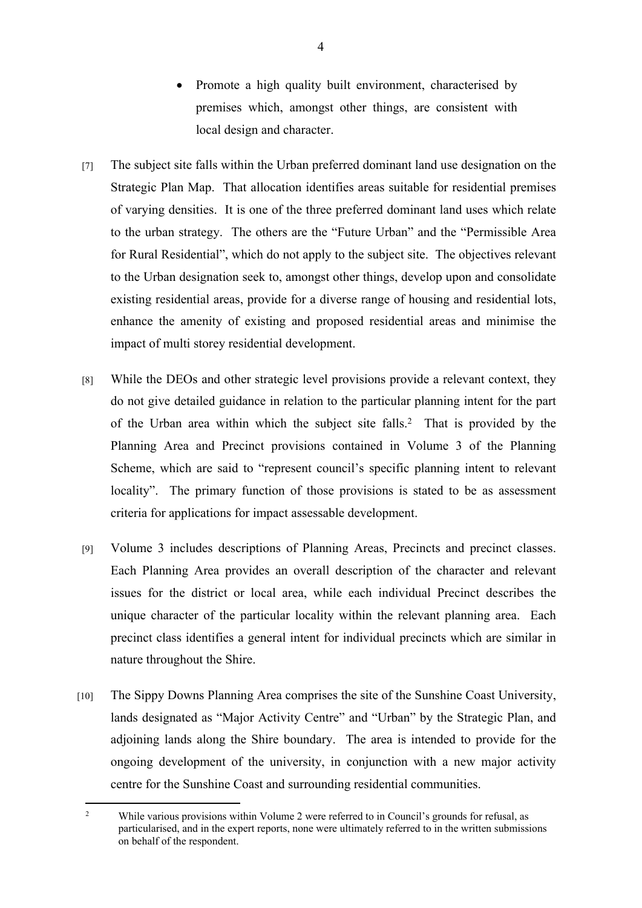- Promote a high quality built environment, characterised by premises which, amongst other things, are consistent with local design and character.
- [7] The subject site falls within the Urban preferred dominant land use designation on the Strategic Plan Map. That allocation identifies areas suitable for residential premises of varying densities. It is one of the three preferred dominant land uses which relate to the urban strategy. The others are the "Future Urban" and the "Permissible Area for Rural Residential", which do not apply to the subject site. The objectives relevant to the Urban designation seek to, amongst other things, develop upon and consolidate existing residential areas, provide for a diverse range of housing and residential lots, enhance the amenity of existing and proposed residential areas and minimise the impact of multi storey residential development.
- [8] While the DEOs and other strategic level provisions provide a relevant context, they do not give detailed guidance in relation to the particular planning intent for the part of the Urban area within which the subject site falls.<sup>2</sup> That is provided by the Planning Area and Precinct provisions contained in Volume 3 of the Planning Scheme, which are said to "represent council's specific planning intent to relevant locality". The primary function of those provisions is stated to be as assessment criteria for applications for impact assessable development.
- [9] Volume 3 includes descriptions of Planning Areas, Precincts and precinct classes. Each Planning Area provides an overall description of the character and relevant issues for the district or local area, while each individual Precinct describes the unique character of the particular locality within the relevant planning area. Each precinct class identifies a general intent for individual precincts which are similar in nature throughout the Shire.
- [10] The Sippy Downs Planning Area comprises the site of the Sunshine Coast University, lands designated as "Major Activity Centre" and "Urban" by the Strategic Plan, and adjoining lands along the Shire boundary. The area is intended to provide for the ongoing development of the university, in conjunction with a new major activity centre for the Sunshine Coast and surrounding residential communities.

<sup>2</sup> While various provisions within Volume 2 were referred to in Council's grounds for refusal, as particularised, and in the expert reports, none were ultimately referred to in the written submissions on behalf of the respondent.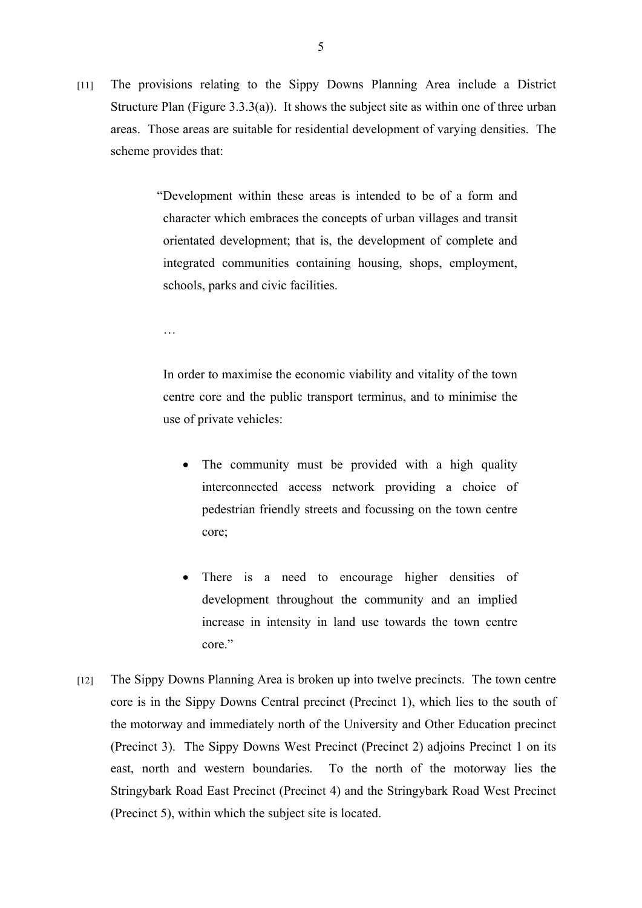- [11] The provisions relating to the Sippy Downs Planning Area include a District Structure Plan (Figure 3.3.3(a)). It shows the subject site as within one of three urban areas. Those areas are suitable for residential development of varying densities. The scheme provides that:
	- "Development within these areas is intended to be of a form and character which embraces the concepts of urban villages and transit orientated development; that is, the development of complete and integrated communities containing housing, shops, employment, schools, parks and civic facilities.

…

In order to maximise the economic viability and vitality of the town centre core and the public transport terminus, and to minimise the use of private vehicles:

- The community must be provided with a high quality interconnected access network providing a choice of pedestrian friendly streets and focussing on the town centre core;
- There is a need to encourage higher densities of development throughout the community and an implied increase in intensity in land use towards the town centre core."
- [12] The Sippy Downs Planning Area is broken up into twelve precincts. The town centre core is in the Sippy Downs Central precinct (Precinct 1), which lies to the south of the motorway and immediately north of the University and Other Education precinct (Precinct 3). The Sippy Downs West Precinct (Precinct 2) adjoins Precinct 1 on its east, north and western boundaries. To the north of the motorway lies the Stringybark Road East Precinct (Precinct 4) and the Stringybark Road West Precinct (Precinct 5), within which the subject site is located.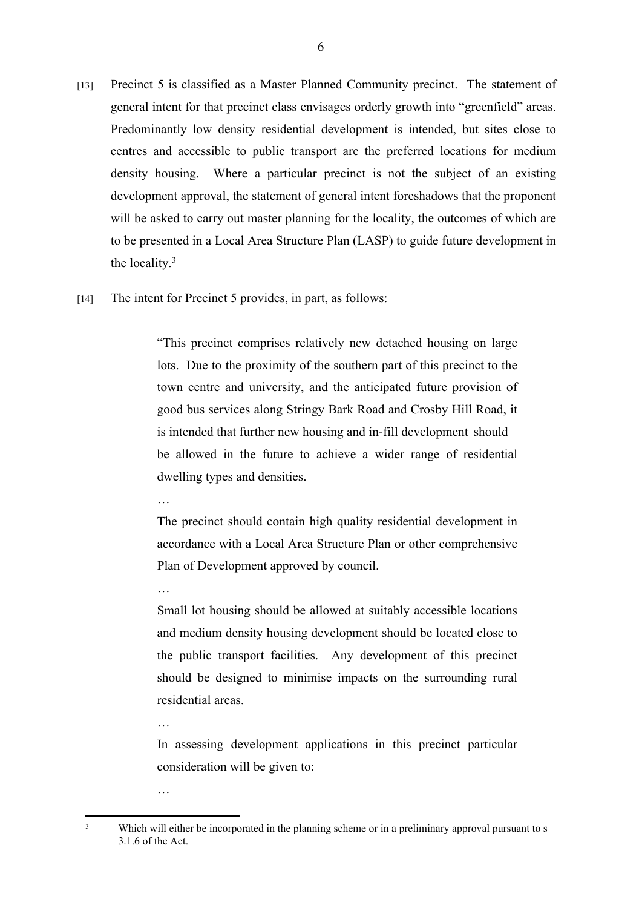- [13] Precinct 5 is classified as a Master Planned Community precinct. The statement of general intent for that precinct class envisages orderly growth into "greenfield" areas. Predominantly low density residential development is intended, but sites close to centres and accessible to public transport are the preferred locations for medium density housing. Where a particular precinct is not the subject of an existing development approval, the statement of general intent foreshadows that the proponent will be asked to carry out master planning for the locality, the outcomes of which are to be presented in a Local Area Structure Plan (LASP) to guide future development in the locality.<sup>3</sup>
- [14] The intent for Precinct 5 provides, in part, as follows:

"This precinct comprises relatively new detached housing on large lots. Due to the proximity of the southern part of this precinct to the town centre and university, and the anticipated future provision of good bus services along Stringy Bark Road and Crosby Hill Road, it is intended that further new housing and in-fill development should be allowed in the future to achieve a wider range of residential dwelling types and densities.

…

…

The precinct should contain high quality residential development in accordance with a Local Area Structure Plan or other comprehensive Plan of Development approved by council.

Small lot housing should be allowed at suitably accessible locations and medium density housing development should be located close to the public transport facilities. Any development of this precinct should be designed to minimise impacts on the surrounding rural residential areas.

In assessing development applications in this precinct particular consideration will be given to:

…

<sup>…</sup>

<sup>3</sup> Which will either be incorporated in the planning scheme or in a preliminary approval pursuant to s 3.1.6 of the Act.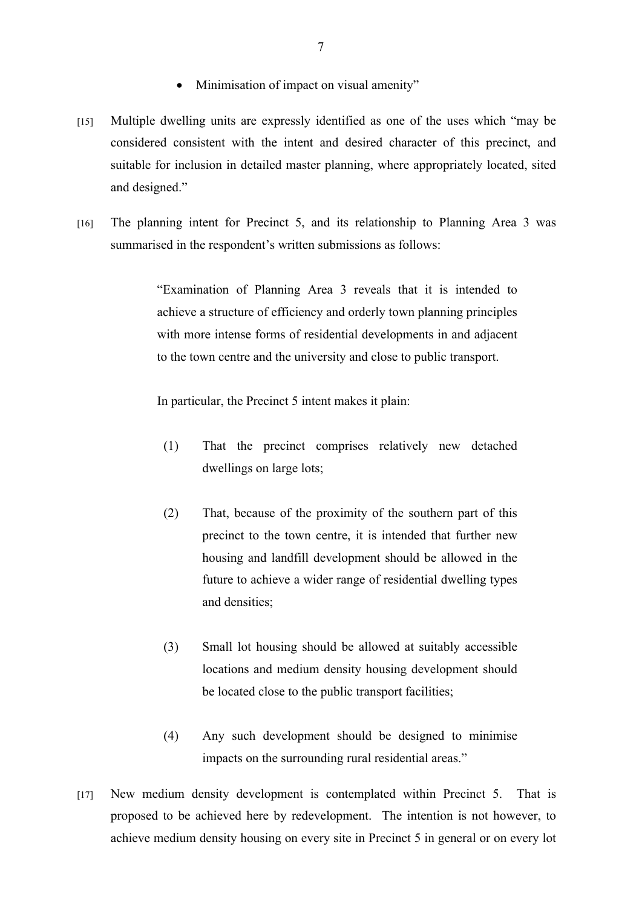- Minimisation of impact on visual amenity"
- [15] Multiple dwelling units are expressly identified as one of the uses which "may be considered consistent with the intent and desired character of this precinct, and suitable for inclusion in detailed master planning, where appropriately located, sited and designed."
- [16] The planning intent for Precinct 5, and its relationship to Planning Area 3 was summarised in the respondent's written submissions as follows:

"Examination of Planning Area 3 reveals that it is intended to achieve a structure of efficiency and orderly town planning principles with more intense forms of residential developments in and adjacent to the town centre and the university and close to public transport.

In particular, the Precinct 5 intent makes it plain:

- (1) That the precinct comprises relatively new detached dwellings on large lots;
- (2) That, because of the proximity of the southern part of this precinct to the town centre, it is intended that further new housing and landfill development should be allowed in the future to achieve a wider range of residential dwelling types and densities;
- (3) Small lot housing should be allowed at suitably accessible locations and medium density housing development should be located close to the public transport facilities;
- (4) Any such development should be designed to minimise impacts on the surrounding rural residential areas."
- [17] New medium density development is contemplated within Precinct 5. That is proposed to be achieved here by redevelopment. The intention is not however, to achieve medium density housing on every site in Precinct 5 in general or on every lot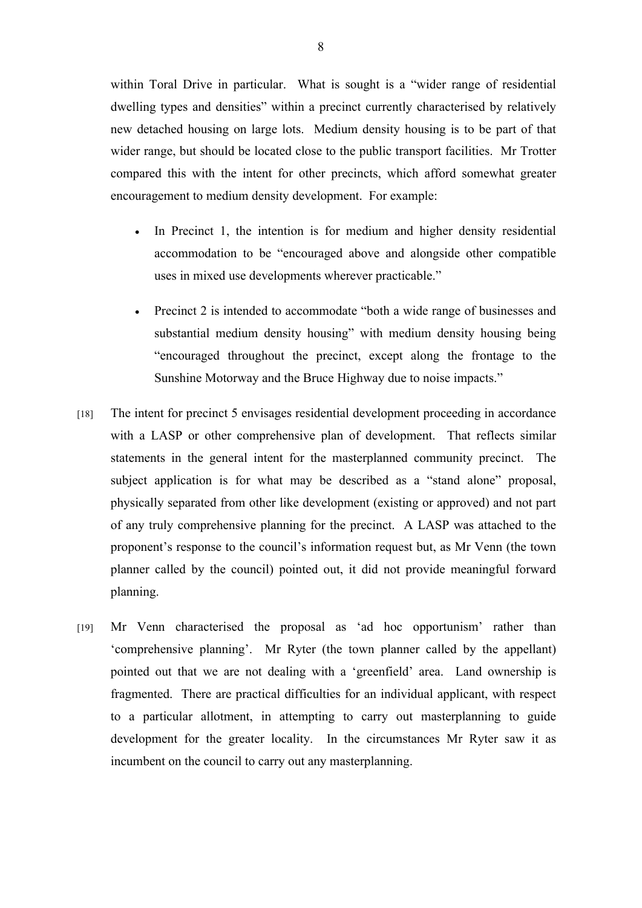within Toral Drive in particular. What is sought is a "wider range of residential dwelling types and densities" within a precinct currently characterised by relatively new detached housing on large lots. Medium density housing is to be part of that wider range, but should be located close to the public transport facilities. Mr Trotter compared this with the intent for other precincts, which afford somewhat greater encouragement to medium density development. For example:

- In Precinct 1, the intention is for medium and higher density residential accommodation to be "encouraged above and alongside other compatible uses in mixed use developments wherever practicable."
- Precinct 2 is intended to accommodate "both a wide range of businesses and substantial medium density housing" with medium density housing being "encouraged throughout the precinct, except along the frontage to the Sunshine Motorway and the Bruce Highway due to noise impacts."
- [18] The intent for precinct 5 envisages residential development proceeding in accordance with a LASP or other comprehensive plan of development. That reflects similar statements in the general intent for the masterplanned community precinct. The subject application is for what may be described as a "stand alone" proposal, physically separated from other like development (existing or approved) and not part of any truly comprehensive planning for the precinct. A LASP was attached to the proponent's response to the council's information request but, as Mr Venn (the town planner called by the council) pointed out, it did not provide meaningful forward planning.
- [19] Mr Venn characterised the proposal as 'ad hoc opportunism' rather than 'comprehensive planning'. Mr Ryter (the town planner called by the appellant) pointed out that we are not dealing with a 'greenfield' area. Land ownership is fragmented. There are practical difficulties for an individual applicant, with respect to a particular allotment, in attempting to carry out masterplanning to guide development for the greater locality. In the circumstances Mr Ryter saw it as incumbent on the council to carry out any masterplanning.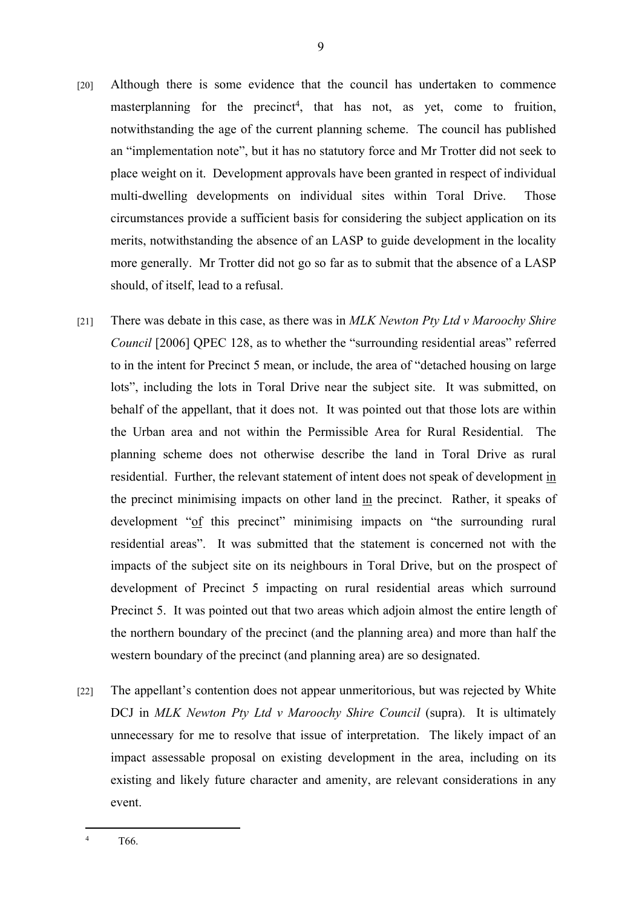- [20] Although there is some evidence that the council has undertaken to commence masterplanning for the precinct<sup>4</sup>, that has not, as yet, come to fruition, notwithstanding the age of the current planning scheme. The council has published an "implementation note", but it has no statutory force and Mr Trotter did not seek to place weight on it. Development approvals have been granted in respect of individual multi-dwelling developments on individual sites within Toral Drive. Those circumstances provide a sufficient basis for considering the subject application on its merits, notwithstanding the absence of an LASP to guide development in the locality more generally. Mr Trotter did not go so far as to submit that the absence of a LASP should, of itself, lead to a refusal.
- [21] There was debate in this case, as there was in *MLK Newton Pty Ltd v Maroochy Shire Council* [2006] QPEC 128, as to whether the "surrounding residential areas" referred to in the intent for Precinct 5 mean, or include, the area of "detached housing on large lots", including the lots in Toral Drive near the subject site. It was submitted, on behalf of the appellant, that it does not. It was pointed out that those lots are within the Urban area and not within the Permissible Area for Rural Residential. The planning scheme does not otherwise describe the land in Toral Drive as rural residential. Further, the relevant statement of intent does not speak of development in the precinct minimising impacts on other land in the precinct. Rather, it speaks of development "of this precinct" minimising impacts on "the surrounding rural residential areas". It was submitted that the statement is concerned not with the impacts of the subject site on its neighbours in Toral Drive, but on the prospect of development of Precinct 5 impacting on rural residential areas which surround Precinct 5. It was pointed out that two areas which adjoin almost the entire length of the northern boundary of the precinct (and the planning area) and more than half the western boundary of the precinct (and planning area) are so designated.
- [22] The appellant's contention does not appear unmeritorious, but was rejected by White DCJ in *MLK Newton Pty Ltd v Maroochy Shire Council* (supra). It is ultimately unnecessary for me to resolve that issue of interpretation. The likely impact of an impact assessable proposal on existing development in the area, including on its existing and likely future character and amenity, are relevant considerations in any event.

<sup>4</sup> T66.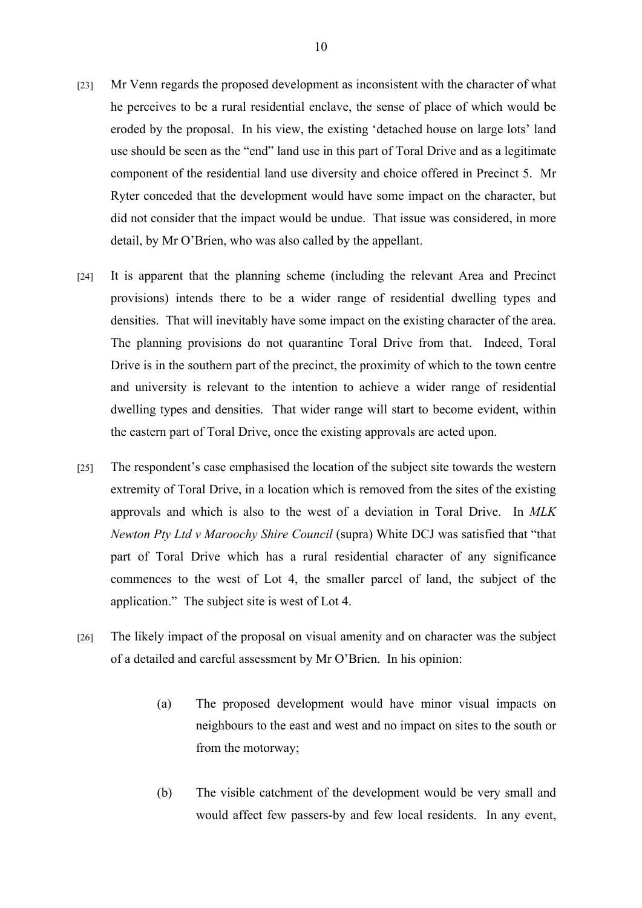- [23] Mr Venn regards the proposed development as inconsistent with the character of what he perceives to be a rural residential enclave, the sense of place of which would be eroded by the proposal. In his view, the existing 'detached house on large lots' land use should be seen as the "end" land use in this part of Toral Drive and as a legitimate component of the residential land use diversity and choice offered in Precinct 5. Mr Ryter conceded that the development would have some impact on the character, but did not consider that the impact would be undue. That issue was considered, in more detail, by Mr O'Brien, who was also called by the appellant.
- [24] It is apparent that the planning scheme (including the relevant Area and Precinct provisions) intends there to be a wider range of residential dwelling types and densities. That will inevitably have some impact on the existing character of the area. The planning provisions do not quarantine Toral Drive from that. Indeed, Toral Drive is in the southern part of the precinct, the proximity of which to the town centre and university is relevant to the intention to achieve a wider range of residential dwelling types and densities. That wider range will start to become evident, within the eastern part of Toral Drive, once the existing approvals are acted upon.
- [25] The respondent's case emphasised the location of the subject site towards the western extremity of Toral Drive, in a location which is removed from the sites of the existing approvals and which is also to the west of a deviation in Toral Drive. In *MLK Newton Pty Ltd v Maroochy Shire Council* (supra) White DCJ was satisfied that "that part of Toral Drive which has a rural residential character of any significance commences to the west of Lot 4, the smaller parcel of land, the subject of the application." The subject site is west of Lot 4.
- [26] The likely impact of the proposal on visual amenity and on character was the subject of a detailed and careful assessment by Mr O'Brien. In his opinion:
	- (a) The proposed development would have minor visual impacts on neighbours to the east and west and no impact on sites to the south or from the motorway;
	- (b) The visible catchment of the development would be very small and would affect few passers-by and few local residents. In any event,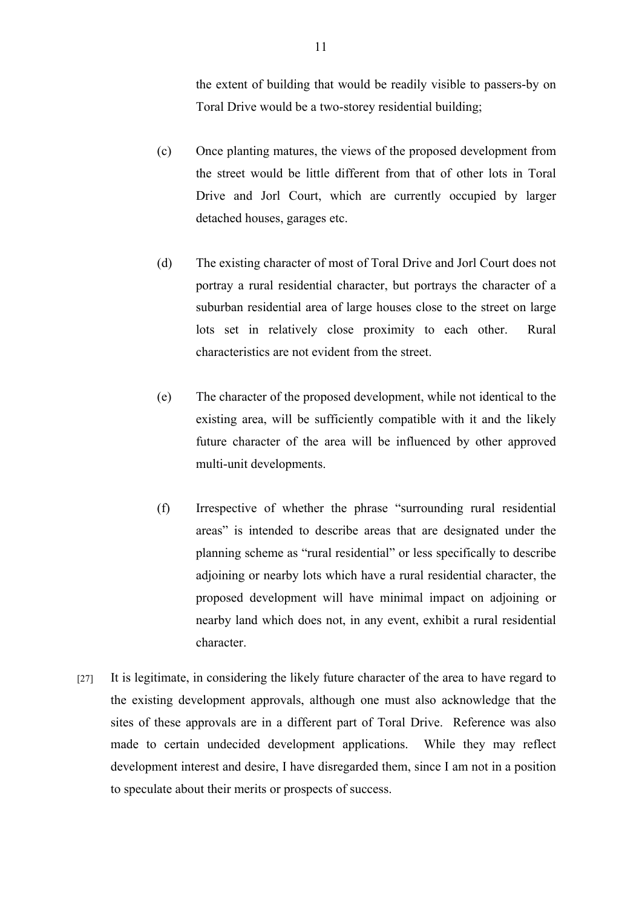the extent of building that would be readily visible to passers-by on Toral Drive would be a two-storey residential building;

- (c) Once planting matures, the views of the proposed development from the street would be little different from that of other lots in Toral Drive and Jorl Court, which are currently occupied by larger detached houses, garages etc.
- (d) The existing character of most of Toral Drive and Jorl Court does not portray a rural residential character, but portrays the character of a suburban residential area of large houses close to the street on large lots set in relatively close proximity to each other. Rural characteristics are not evident from the street.
- (e) The character of the proposed development, while not identical to the existing area, will be sufficiently compatible with it and the likely future character of the area will be influenced by other approved multi-unit developments.
- (f) Irrespective of whether the phrase "surrounding rural residential areas" is intended to describe areas that are designated under the planning scheme as "rural residential" or less specifically to describe adjoining or nearby lots which have a rural residential character, the proposed development will have minimal impact on adjoining or nearby land which does not, in any event, exhibit a rural residential character.
- [27] It is legitimate, in considering the likely future character of the area to have regard to the existing development approvals, although one must also acknowledge that the sites of these approvals are in a different part of Toral Drive. Reference was also made to certain undecided development applications. While they may reflect development interest and desire, I have disregarded them, since I am not in a position to speculate about their merits or prospects of success.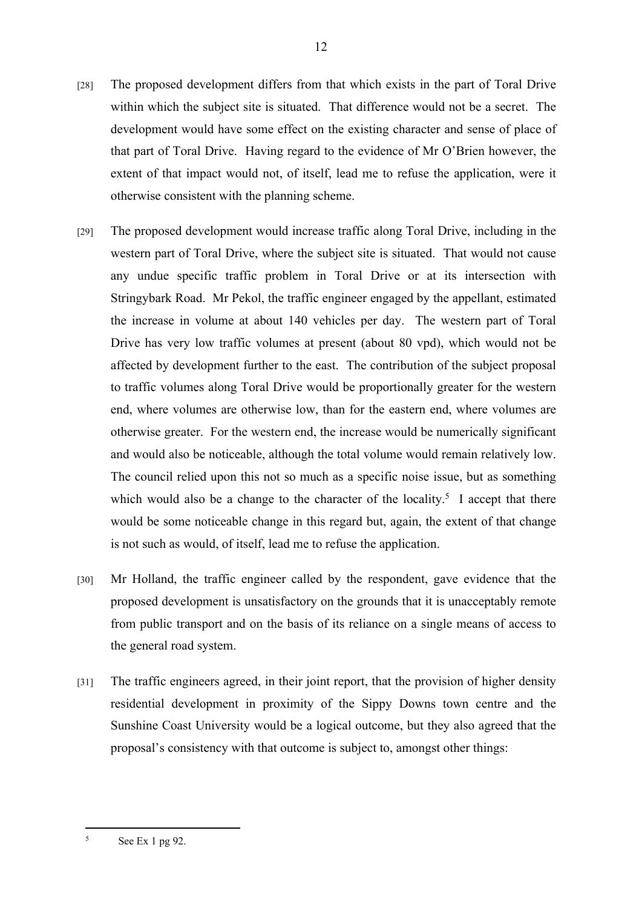- [28] The proposed development differs from that which exists in the part of Toral Drive within which the subject site is situated. That difference would not be a secret. The development would have some effect on the existing character and sense of place of that part of Toral Drive. Having regard to the evidence of Mr O'Brien however, the extent of that impact would not, of itself, lead me to refuse the application, were it otherwise consistent with the planning scheme.
- [29] The proposed development would increase traffic along Toral Drive, including in the western part of Toral Drive, where the subject site is situated. That would not cause any undue specific traffic problem in Toral Drive or at its intersection with Stringybark Road. Mr Pekol, the traffic engineer engaged by the appellant, estimated the increase in volume at about 140 vehicles per day. The western part of Toral Drive has very low traffic volumes at present (about 80 vpd), which would not be affected by development further to the east. The contribution of the subject proposal to traffic volumes along Toral Drive would be proportionally greater for the western end, where volumes are otherwise low, than for the eastern end, where volumes are otherwise greater. For the western end, the increase would be numerically significant and would also be noticeable, although the total volume would remain relatively low. The council relied upon this not so much as a specific noise issue, but as something which would also be a change to the character of the locality.<sup>5</sup> I accept that there would be some noticeable change in this regard but, again, the extent of that change is not such as would, of itself, lead me to refuse the application.
- [30] Mr Holland, the traffic engineer called by the respondent, gave evidence that the proposed development is unsatisfactory on the grounds that it is unacceptably remote from public transport and on the basis of its reliance on a single means of access to the general road system.
- [31] The traffic engineers agreed, in their joint report, that the provision of higher density residential development in proximity of the Sippy Downs town centre and the Sunshine Coast University would be a logical outcome, but they also agreed that the proposal's consistency with that outcome is subject to, amongst other things:

<sup>5</sup> See Ex 1 pg 92.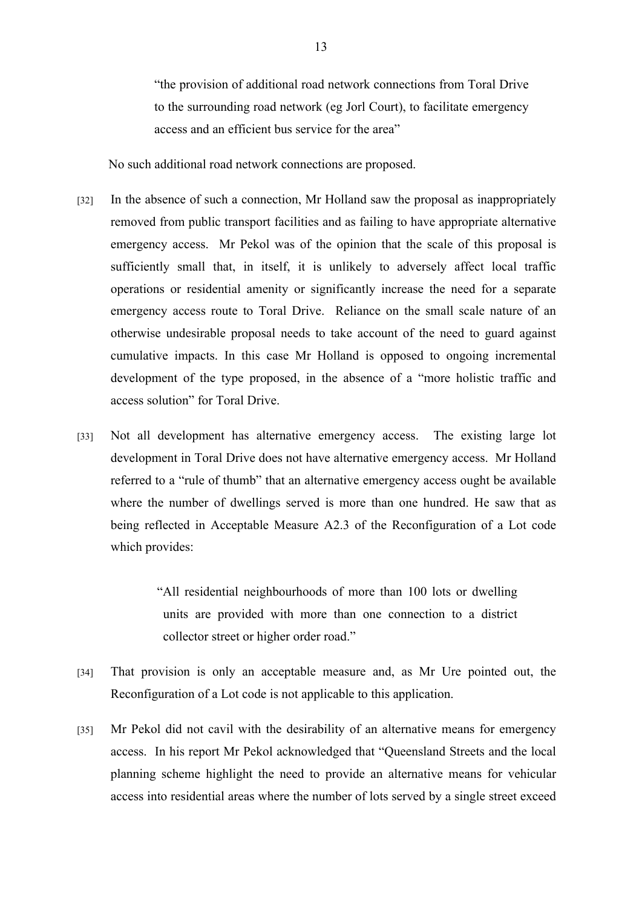"the provision of additional road network connections from Toral Drive to the surrounding road network (eg Jorl Court), to facilitate emergency access and an efficient bus service for the area"

No such additional road network connections are proposed.

- [32] In the absence of such a connection, Mr Holland saw the proposal as inappropriately removed from public transport facilities and as failing to have appropriate alternative emergency access. Mr Pekol was of the opinion that the scale of this proposal is sufficiently small that, in itself, it is unlikely to adversely affect local traffic operations or residential amenity or significantly increase the need for a separate emergency access route to Toral Drive. Reliance on the small scale nature of an otherwise undesirable proposal needs to take account of the need to guard against cumulative impacts. In this case Mr Holland is opposed to ongoing incremental development of the type proposed, in the absence of a "more holistic traffic and access solution" for Toral Drive.
- [33] Not all development has alternative emergency access. The existing large lot development in Toral Drive does not have alternative emergency access. Mr Holland referred to a "rule of thumb" that an alternative emergency access ought be available where the number of dwellings served is more than one hundred. He saw that as being reflected in Acceptable Measure A2.3 of the Reconfiguration of a Lot code which provides:

"All residential neighbourhoods of more than 100 lots or dwelling units are provided with more than one connection to a district collector street or higher order road."

- [34] That provision is only an acceptable measure and, as Mr Ure pointed out, the Reconfiguration of a Lot code is not applicable to this application.
- [35] Mr Pekol did not cavil with the desirability of an alternative means for emergency access. In his report Mr Pekol acknowledged that "Queensland Streets and the local planning scheme highlight the need to provide an alternative means for vehicular access into residential areas where the number of lots served by a single street exceed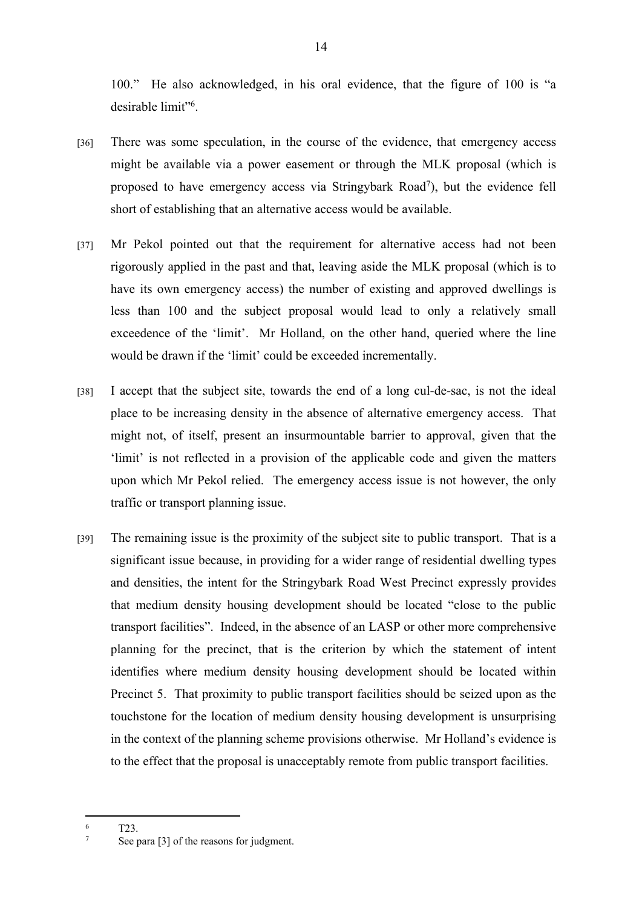100." He also acknowledged, in his oral evidence, that the figure of 100 is "a desirable limit"<sup>6</sup> .

- [36] There was some speculation, in the course of the evidence, that emergency access might be available via a power easement or through the MLK proposal (which is proposed to have emergency access via Stringybark Road<sup>7</sup>), but the evidence fell short of establishing that an alternative access would be available.
- [37] Mr Pekol pointed out that the requirement for alternative access had not been rigorously applied in the past and that, leaving aside the MLK proposal (which is to have its own emergency access) the number of existing and approved dwellings is less than 100 and the subject proposal would lead to only a relatively small exceedence of the 'limit'. Mr Holland, on the other hand, queried where the line would be drawn if the 'limit' could be exceeded incrementally.
- [38] I accept that the subject site, towards the end of a long cul-de-sac, is not the ideal place to be increasing density in the absence of alternative emergency access. That might not, of itself, present an insurmountable barrier to approval, given that the 'limit' is not reflected in a provision of the applicable code and given the matters upon which Mr Pekol relied. The emergency access issue is not however, the only traffic or transport planning issue.
- [39] The remaining issue is the proximity of the subject site to public transport. That is a significant issue because, in providing for a wider range of residential dwelling types and densities, the intent for the Stringybark Road West Precinct expressly provides that medium density housing development should be located "close to the public transport facilities". Indeed, in the absence of an LASP or other more comprehensive planning for the precinct, that is the criterion by which the statement of intent identifies where medium density housing development should be located within Precinct 5. That proximity to public transport facilities should be seized upon as the touchstone for the location of medium density housing development is unsurprising in the context of the planning scheme provisions otherwise. Mr Holland's evidence is to the effect that the proposal is unacceptably remote from public transport facilities.

<sup>6</sup> T23.

<sup>7</sup> See para [3] of the reasons for judgment.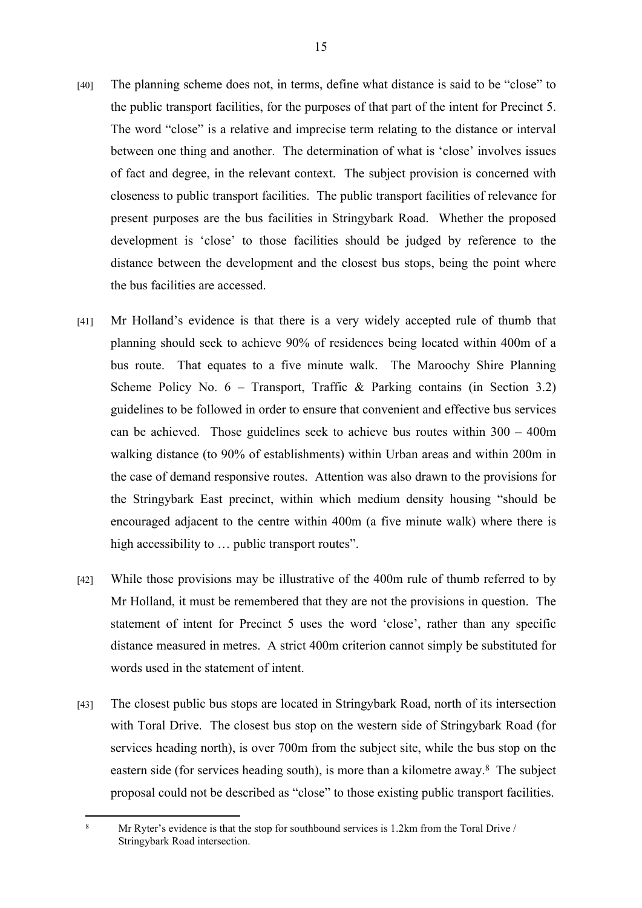- [40] The planning scheme does not, in terms, define what distance is said to be "close" to the public transport facilities, for the purposes of that part of the intent for Precinct 5. The word "close" is a relative and imprecise term relating to the distance or interval between one thing and another. The determination of what is 'close' involves issues of fact and degree, in the relevant context. The subject provision is concerned with closeness to public transport facilities. The public transport facilities of relevance for present purposes are the bus facilities in Stringybark Road. Whether the proposed development is 'close' to those facilities should be judged by reference to the distance between the development and the closest bus stops, being the point where the bus facilities are accessed.
- [41] Mr Holland's evidence is that there is a very widely accepted rule of thumb that planning should seek to achieve 90% of residences being located within 400m of a bus route. That equates to a five minute walk. The Maroochy Shire Planning Scheme Policy No.  $6 -$  Transport, Traffic & Parking contains (in Section 3.2) guidelines to be followed in order to ensure that convenient and effective bus services can be achieved. Those guidelines seek to achieve bus routes within 300 – 400m walking distance (to 90% of establishments) within Urban areas and within 200m in the case of demand responsive routes. Attention was also drawn to the provisions for the Stringybark East precinct, within which medium density housing "should be encouraged adjacent to the centre within 400m (a five minute walk) where there is high accessibility to ... public transport routes".
- [42] While those provisions may be illustrative of the 400m rule of thumb referred to by Mr Holland, it must be remembered that they are not the provisions in question. The statement of intent for Precinct 5 uses the word 'close', rather than any specific distance measured in metres. A strict 400m criterion cannot simply be substituted for words used in the statement of intent.
- [43] The closest public bus stops are located in Stringybark Road, north of its intersection with Toral Drive. The closest bus stop on the western side of Stringybark Road (for services heading north), is over 700m from the subject site, while the bus stop on the eastern side (for services heading south), is more than a kilometre away.<sup>8</sup> The subject proposal could not be described as "close" to those existing public transport facilities.

<sup>8</sup> Mr Ryter's evidence is that the stop for southbound services is 1.2km from the Toral Drive / Stringybark Road intersection.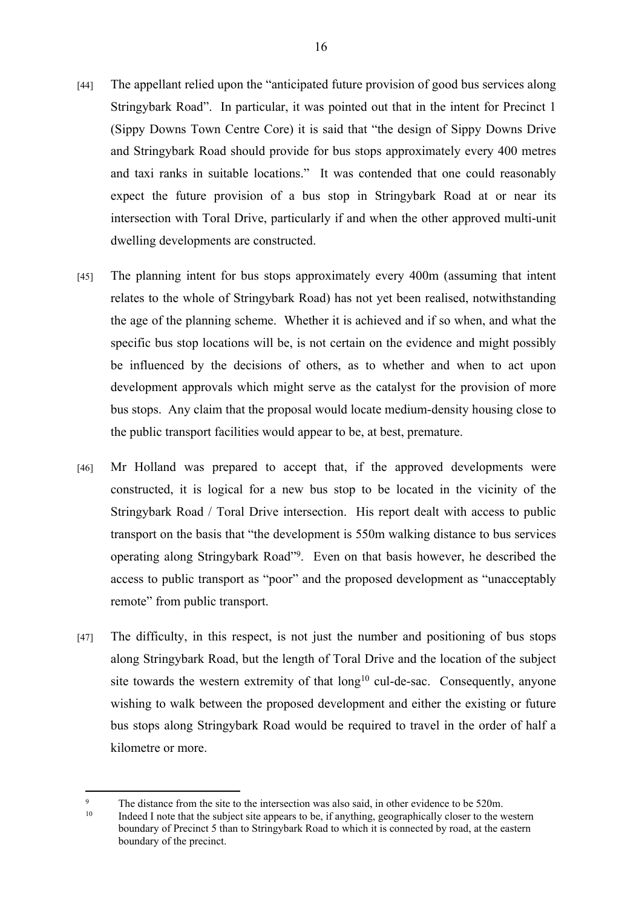- [44] The appellant relied upon the "anticipated future provision of good bus services along Stringybark Road". In particular, it was pointed out that in the intent for Precinct 1 (Sippy Downs Town Centre Core) it is said that "the design of Sippy Downs Drive and Stringybark Road should provide for bus stops approximately every 400 metres and taxi ranks in suitable locations." It was contended that one could reasonably expect the future provision of a bus stop in Stringybark Road at or near its intersection with Toral Drive, particularly if and when the other approved multi-unit dwelling developments are constructed.
- [45] The planning intent for bus stops approximately every 400m (assuming that intent relates to the whole of Stringybark Road) has not yet been realised, notwithstanding the age of the planning scheme. Whether it is achieved and if so when, and what the specific bus stop locations will be, is not certain on the evidence and might possibly be influenced by the decisions of others, as to whether and when to act upon development approvals which might serve as the catalyst for the provision of more bus stops. Any claim that the proposal would locate medium-density housing close to the public transport facilities would appear to be, at best, premature.
- [46] Mr Holland was prepared to accept that, if the approved developments were constructed, it is logical for a new bus stop to be located in the vicinity of the Stringybark Road / Toral Drive intersection. His report dealt with access to public transport on the basis that "the development is 550m walking distance to bus services operating along Stringybark Road"<sup>9</sup> . Even on that basis however, he described the access to public transport as "poor" and the proposed development as "unacceptably remote" from public transport.
- [47] The difficulty, in this respect, is not just the number and positioning of bus stops along Stringybark Road, but the length of Toral Drive and the location of the subject site towards the western extremity of that  $long<sup>10</sup>$  cul-de-sac. Consequently, anyone wishing to walk between the proposed development and either the existing or future bus stops along Stringybark Road would be required to travel in the order of half a kilometre or more.

 $\alpha$ <sup>9</sup> The distance from the site to the intersection was also said, in other evidence to be 520m.

Indeed I note that the subject site appears to be, if anything, geographically closer to the western boundary of Precinct 5 than to Stringybark Road to which it is connected by road, at the eastern boundary of the precinct.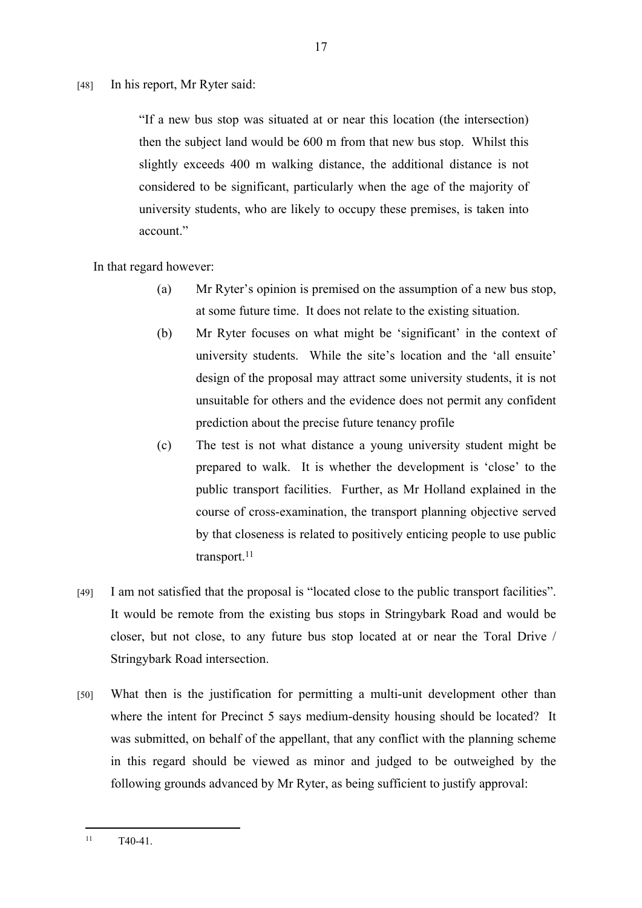[48] In his report, Mr Ryter said:

"If a new bus stop was situated at or near this location (the intersection) then the subject land would be 600 m from that new bus stop. Whilst this slightly exceeds 400 m walking distance, the additional distance is not considered to be significant, particularly when the age of the majority of university students, who are likely to occupy these premises, is taken into account."

In that regard however:

- (a) Mr Ryter's opinion is premised on the assumption of a new bus stop, at some future time. It does not relate to the existing situation.
- (b) Mr Ryter focuses on what might be 'significant' in the context of university students. While the site's location and the 'all ensuite' design of the proposal may attract some university students, it is not unsuitable for others and the evidence does not permit any confident prediction about the precise future tenancy profile
- (c) The test is not what distance a young university student might be prepared to walk. It is whether the development is 'close' to the public transport facilities. Further, as Mr Holland explained in the course of cross-examination, the transport planning objective served by that closeness is related to positively enticing people to use public transport.<sup>11</sup>
- [49] I am not satisfied that the proposal is "located close to the public transport facilities". It would be remote from the existing bus stops in Stringybark Road and would be closer, but not close, to any future bus stop located at or near the Toral Drive / Stringybark Road intersection.
- [50] What then is the justification for permitting a multi-unit development other than where the intent for Precinct 5 says medium-density housing should be located? It was submitted, on behalf of the appellant, that any conflict with the planning scheme in this regard should be viewed as minor and judged to be outweighed by the following grounds advanced by Mr Ryter, as being sufficient to justify approval:

 $11 \tT40-41$ .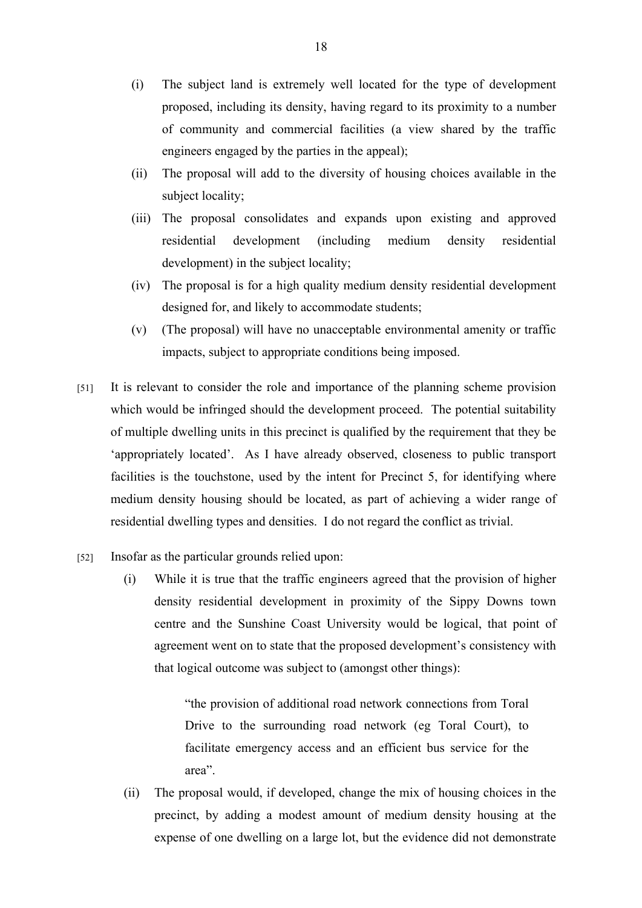- (i) The subject land is extremely well located for the type of development proposed, including its density, having regard to its proximity to a number of community and commercial facilities (a view shared by the traffic engineers engaged by the parties in the appeal);
- (ii) The proposal will add to the diversity of housing choices available in the subject locality;
- (iii) The proposal consolidates and expands upon existing and approved residential development (including medium density residential development) in the subject locality;
- (iv) The proposal is for a high quality medium density residential development designed for, and likely to accommodate students;
- (v) (The proposal) will have no unacceptable environmental amenity or traffic impacts, subject to appropriate conditions being imposed.
- [51] It is relevant to consider the role and importance of the planning scheme provision which would be infringed should the development proceed. The potential suitability of multiple dwelling units in this precinct is qualified by the requirement that they be 'appropriately located'. As I have already observed, closeness to public transport facilities is the touchstone, used by the intent for Precinct 5, for identifying where medium density housing should be located, as part of achieving a wider range of residential dwelling types and densities. I do not regard the conflict as trivial.
- [52] Insofar as the particular grounds relied upon:
	- (i) While it is true that the traffic engineers agreed that the provision of higher density residential development in proximity of the Sippy Downs town centre and the Sunshine Coast University would be logical, that point of agreement went on to state that the proposed development's consistency with that logical outcome was subject to (amongst other things):

"the provision of additional road network connections from Toral Drive to the surrounding road network (eg Toral Court), to facilitate emergency access and an efficient bus service for the area".

(ii) The proposal would, if developed, change the mix of housing choices in the precinct, by adding a modest amount of medium density housing at the expense of one dwelling on a large lot, but the evidence did not demonstrate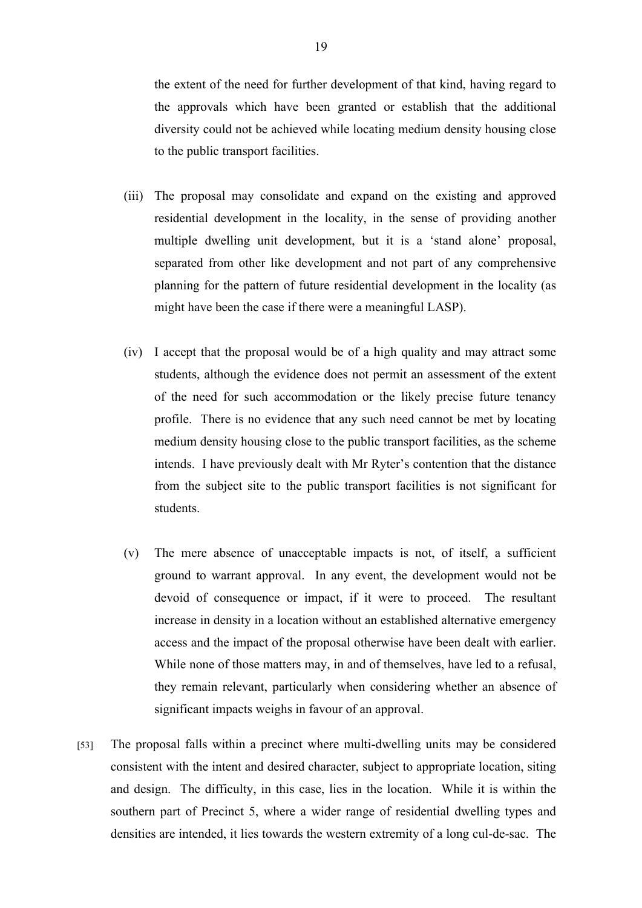the extent of the need for further development of that kind, having regard to the approvals which have been granted or establish that the additional diversity could not be achieved while locating medium density housing close to the public transport facilities.

- (iii) The proposal may consolidate and expand on the existing and approved residential development in the locality, in the sense of providing another multiple dwelling unit development, but it is a 'stand alone' proposal, separated from other like development and not part of any comprehensive planning for the pattern of future residential development in the locality (as might have been the case if there were a meaningful LASP).
- (iv) I accept that the proposal would be of a high quality and may attract some students, although the evidence does not permit an assessment of the extent of the need for such accommodation or the likely precise future tenancy profile. There is no evidence that any such need cannot be met by locating medium density housing close to the public transport facilities, as the scheme intends. I have previously dealt with Mr Ryter's contention that the distance from the subject site to the public transport facilities is not significant for students.
- (v) The mere absence of unacceptable impacts is not, of itself, a sufficient ground to warrant approval. In any event, the development would not be devoid of consequence or impact, if it were to proceed. The resultant increase in density in a location without an established alternative emergency access and the impact of the proposal otherwise have been dealt with earlier. While none of those matters may, in and of themselves, have led to a refusal, they remain relevant, particularly when considering whether an absence of significant impacts weighs in favour of an approval.
- [53] The proposal falls within a precinct where multi-dwelling units may be considered consistent with the intent and desired character, subject to appropriate location, siting and design. The difficulty, in this case, lies in the location. While it is within the southern part of Precinct 5, where a wider range of residential dwelling types and densities are intended, it lies towards the western extremity of a long cul-de-sac. The